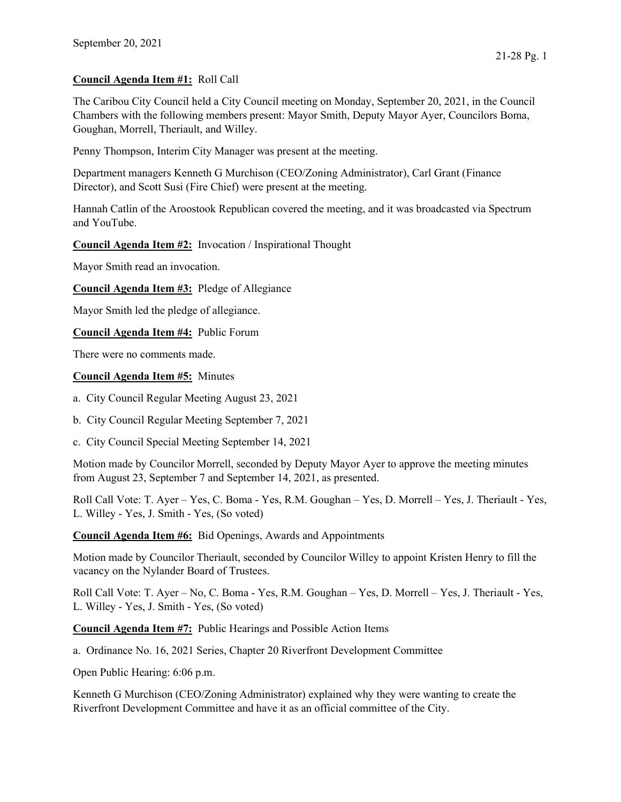## Council Agenda Item #1: Roll Call

The Caribou City Council held a City Council meeting on Monday, September 20, 2021, in the Council Chambers with the following members present: Mayor Smith, Deputy Mayor Ayer, Councilors Boma, Goughan, Morrell, Theriault, and Willey.

Penny Thompson, Interim City Manager was present at the meeting.

Department managers Kenneth G Murchison (CEO/Zoning Administrator), Carl Grant (Finance Director), and Scott Susi (Fire Chief) were present at the meeting.

Hannah Catlin of the Aroostook Republican covered the meeting, and it was broadcasted via Spectrum and YouTube.

## Council Agenda Item #2: Invocation / Inspirational Thought

Mayor Smith read an invocation.

Council Agenda Item #3: Pledge of Allegiance

Mayor Smith led the pledge of allegiance.

Council Agenda Item #4: Public Forum

There were no comments made.

## Council Agenda Item #5: Minutes

a. City Council Regular Meeting August 23, 2021

b. City Council Regular Meeting September 7, 2021

c. City Council Special Meeting September 14, 2021

Motion made by Councilor Morrell, seconded by Deputy Mayor Ayer to approve the meeting minutes from August 23, September 7 and September 14, 2021, as presented.

Roll Call Vote: T. Ayer – Yes, C. Boma - Yes, R.M. Goughan – Yes, D. Morrell – Yes, J. Theriault - Yes, L. Willey - Yes, J. Smith - Yes, (So voted)

Council Agenda Item #6: Bid Openings, Awards and Appointments

Motion made by Councilor Theriault, seconded by Councilor Willey to appoint Kristen Henry to fill the vacancy on the Nylander Board of Trustees.

Roll Call Vote: T. Ayer – No, C. Boma - Yes, R.M. Goughan – Yes, D. Morrell – Yes, J. Theriault - Yes, L. Willey - Yes, J. Smith - Yes, (So voted)

Council Agenda Item #7: Public Hearings and Possible Action Items

a. Ordinance No. 16, 2021 Series, Chapter 20 Riverfront Development Committee

Open Public Hearing: 6:06 p.m.

Kenneth G Murchison (CEO/Zoning Administrator) explained why they were wanting to create the Riverfront Development Committee and have it as an official committee of the City.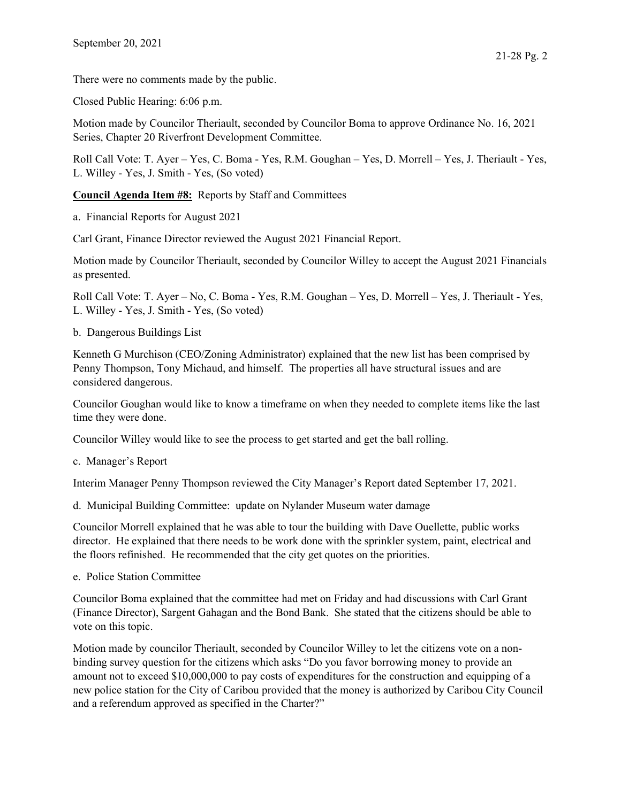There were no comments made by the public.

Closed Public Hearing: 6:06 p.m.

Motion made by Councilor Theriault, seconded by Councilor Boma to approve Ordinance No. 16, 2021 Series, Chapter 20 Riverfront Development Committee.

Roll Call Vote: T. Ayer – Yes, C. Boma - Yes, R.M. Goughan – Yes, D. Morrell – Yes, J. Theriault - Yes, L. Willey - Yes, J. Smith - Yes, (So voted)

Council Agenda Item #8: Reports by Staff and Committees

a. Financial Reports for August 2021

Carl Grant, Finance Director reviewed the August 2021 Financial Report.

Motion made by Councilor Theriault, seconded by Councilor Willey to accept the August 2021 Financials as presented.

Roll Call Vote: T. Ayer – No, C. Boma - Yes, R.M. Goughan – Yes, D. Morrell – Yes, J. Theriault - Yes, L. Willey - Yes, J. Smith - Yes, (So voted)

b. Dangerous Buildings List

Kenneth G Murchison (CEO/Zoning Administrator) explained that the new list has been comprised by Penny Thompson, Tony Michaud, and himself. The properties all have structural issues and are considered dangerous.

Councilor Goughan would like to know a timeframe on when they needed to complete items like the last time they were done.

Councilor Willey would like to see the process to get started and get the ball rolling.

c. Manager's Report

Interim Manager Penny Thompson reviewed the City Manager's Report dated September 17, 2021.

d. Municipal Building Committee: update on Nylander Museum water damage

Councilor Morrell explained that he was able to tour the building with Dave Ouellette, public works director. He explained that there needs to be work done with the sprinkler system, paint, electrical and the floors refinished. He recommended that the city get quotes on the priorities.

e. Police Station Committee

Councilor Boma explained that the committee had met on Friday and had discussions with Carl Grant (Finance Director), Sargent Gahagan and the Bond Bank. She stated that the citizens should be able to vote on this topic.

Motion made by councilor Theriault, seconded by Councilor Willey to let the citizens vote on a nonbinding survey question for the citizens which asks "Do you favor borrowing money to provide an amount not to exceed \$10,000,000 to pay costs of expenditures for the construction and equipping of a new police station for the City of Caribou provided that the money is authorized by Caribou City Council and a referendum approved as specified in the Charter?"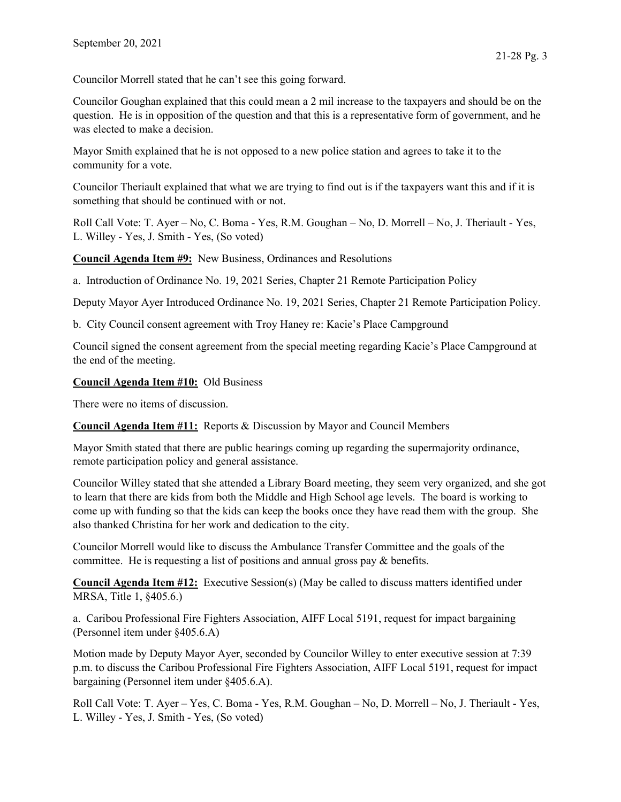Councilor Morrell stated that he can't see this going forward.

Councilor Goughan explained that this could mean a 2 mil increase to the taxpayers and should be on the question. He is in opposition of the question and that this is a representative form of government, and he was elected to make a decision.

Mayor Smith explained that he is not opposed to a new police station and agrees to take it to the community for a vote.

Councilor Theriault explained that what we are trying to find out is if the taxpayers want this and if it is something that should be continued with or not.

Roll Call Vote: T. Ayer – No, C. Boma - Yes, R.M. Goughan – No, D. Morrell – No, J. Theriault - Yes, L. Willey - Yes, J. Smith - Yes, (So voted)

Council Agenda Item #9: New Business, Ordinances and Resolutions

a. Introduction of Ordinance No. 19, 2021 Series, Chapter 21 Remote Participation Policy

Deputy Mayor Ayer Introduced Ordinance No. 19, 2021 Series, Chapter 21 Remote Participation Policy.

b. City Council consent agreement with Troy Haney re: Kacie's Place Campground

Council signed the consent agreement from the special meeting regarding Kacie's Place Campground at the end of the meeting.

## Council Agenda Item #10: Old Business

There were no items of discussion.

Council Agenda Item #11: Reports & Discussion by Mayor and Council Members

Mayor Smith stated that there are public hearings coming up regarding the supermajority ordinance, remote participation policy and general assistance.

Councilor Willey stated that she attended a Library Board meeting, they seem very organized, and she got to learn that there are kids from both the Middle and High School age levels. The board is working to come up with funding so that the kids can keep the books once they have read them with the group. She also thanked Christina for her work and dedication to the city.

Councilor Morrell would like to discuss the Ambulance Transfer Committee and the goals of the committee. He is requesting a list of positions and annual gross pay & benefits.

Council Agenda Item #12: Executive Session(s) (May be called to discuss matters identified under MRSA, Title 1, §405.6.)

a. Caribou Professional Fire Fighters Association, AIFF Local 5191, request for impact bargaining (Personnel item under §405.6.A)

Motion made by Deputy Mayor Ayer, seconded by Councilor Willey to enter executive session at 7:39 p.m. to discuss the Caribou Professional Fire Fighters Association, AIFF Local 5191, request for impact bargaining (Personnel item under §405.6.A).

Roll Call Vote: T. Ayer – Yes, C. Boma - Yes, R.M. Goughan – No, D. Morrell – No, J. Theriault - Yes, L. Willey - Yes, J. Smith - Yes, (So voted)